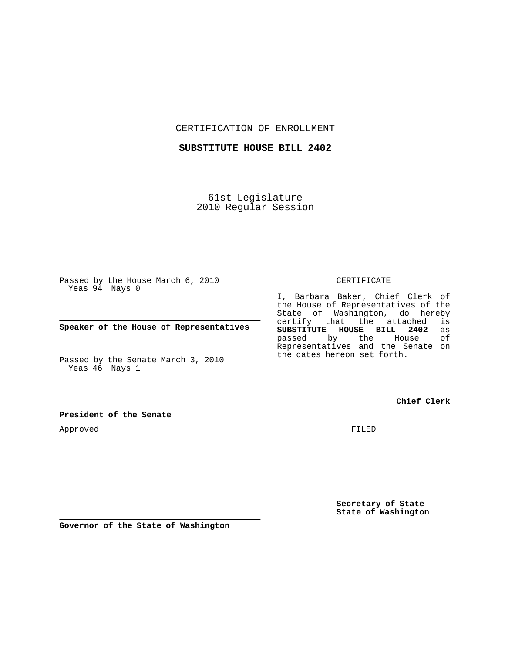CERTIFICATION OF ENROLLMENT

**SUBSTITUTE HOUSE BILL 2402**

61st Legislature 2010 Regular Session

Passed by the House March 6, 2010 Yeas 94 Nays 0

**Speaker of the House of Representatives**

Passed by the Senate March 3, 2010 Yeas 46 Nays 1

**President of the Senate**

Approved

CERTIFICATE

I, Barbara Baker, Chief Clerk of the House of Representatives of the State of Washington, do hereby certify that the attached is<br>SUBSTITUTE HOUSE BILL 2402 as **SUBSTITUTE HOUSE BILL 2402** as passed by the Representatives and the Senate on the dates hereon set forth.

**Chief Clerk**

FILED

**Secretary of State State of Washington**

**Governor of the State of Washington**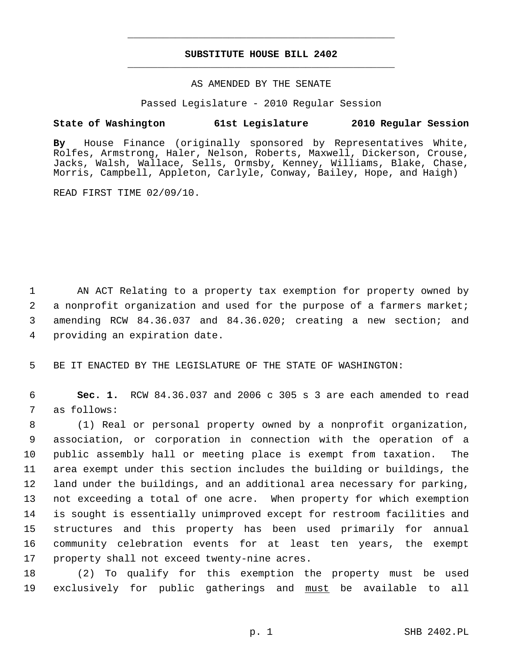## **SUBSTITUTE HOUSE BILL 2402** \_\_\_\_\_\_\_\_\_\_\_\_\_\_\_\_\_\_\_\_\_\_\_\_\_\_\_\_\_\_\_\_\_\_\_\_\_\_\_\_\_\_\_\_\_

\_\_\_\_\_\_\_\_\_\_\_\_\_\_\_\_\_\_\_\_\_\_\_\_\_\_\_\_\_\_\_\_\_\_\_\_\_\_\_\_\_\_\_\_\_

## AS AMENDED BY THE SENATE

Passed Legislature - 2010 Regular Session

## **State of Washington 61st Legislature 2010 Regular Session**

**By** House Finance (originally sponsored by Representatives White, Rolfes, Armstrong, Haler, Nelson, Roberts, Maxwell, Dickerson, Crouse, Jacks, Walsh, Wallace, Sells, Ormsby, Kenney, Williams, Blake, Chase, Morris, Campbell, Appleton, Carlyle, Conway, Bailey, Hope, and Haigh)

READ FIRST TIME 02/09/10.

 1 AN ACT Relating to a property tax exemption for property owned by 2 a nonprofit organization and used for the purpose of a farmers market; 3 amending RCW 84.36.037 and 84.36.020; creating a new section; and 4 providing an expiration date.

5 BE IT ENACTED BY THE LEGISLATURE OF THE STATE OF WASHINGTON:

 6 **Sec. 1.** RCW 84.36.037 and 2006 c 305 s 3 are each amended to read 7 as follows:

 8 (1) Real or personal property owned by a nonprofit organization, 9 association, or corporation in connection with the operation of a 10 public assembly hall or meeting place is exempt from taxation. The 11 area exempt under this section includes the building or buildings, the 12 land under the buildings, and an additional area necessary for parking, 13 not exceeding a total of one acre. When property for which exemption 14 is sought is essentially unimproved except for restroom facilities and 15 structures and this property has been used primarily for annual 16 community celebration events for at least ten years, the exempt 17 property shall not exceed twenty-nine acres.

18 (2) To qualify for this exemption the property must be used 19 exclusively for public gatherings and must be available to all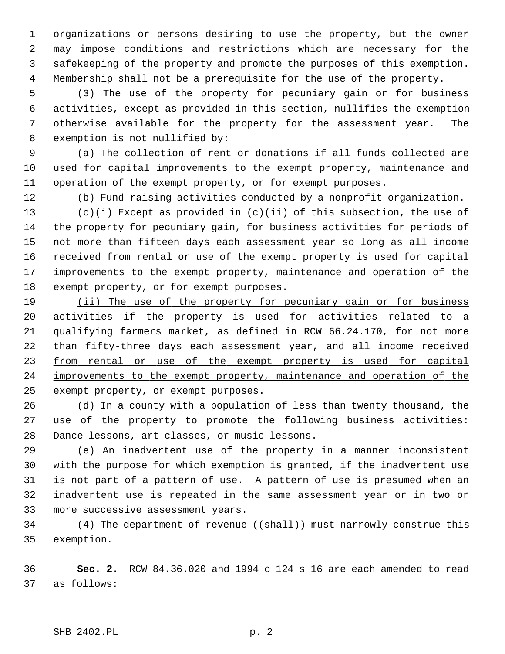1 organizations or persons desiring to use the property, but the owner 2 may impose conditions and restrictions which are necessary for the 3 safekeeping of the property and promote the purposes of this exemption. 4 Membership shall not be a prerequisite for the use of the property.

 5 (3) The use of the property for pecuniary gain or for business 6 activities, except as provided in this section, nullifies the exemption 7 otherwise available for the property for the assessment year. The 8 exemption is not nullified by:

 9 (a) The collection of rent or donations if all funds collected are 10 used for capital improvements to the exempt property, maintenance and 11 operation of the exempt property, or for exempt purposes.

12 (b) Fund-raising activities conducted by a nonprofit organization.

13 (c)(i) Except as provided in  $(c)(ii)$  of this subsection, the use of 14 the property for pecuniary gain, for business activities for periods of 15 not more than fifteen days each assessment year so long as all income 16 received from rental or use of the exempt property is used for capital 17 improvements to the exempt property, maintenance and operation of the 18 exempt property, or for exempt purposes.

 (ii) The use of the property for pecuniary gain or for business activities if the property is used for activities related to a qualifying farmers market, as defined in RCW 66.24.170, for not more than fifty-three days each assessment year, and all income received 23 from rental or use of the exempt property is used for capital improvements to the exempt property, maintenance and operation of the exempt property, or exempt purposes.

26 (d) In a county with a population of less than twenty thousand, the 27 use of the property to promote the following business activities: 28 Dance lessons, art classes, or music lessons.

29 (e) An inadvertent use of the property in a manner inconsistent 30 with the purpose for which exemption is granted, if the inadvertent use 31 is not part of a pattern of use. A pattern of use is presumed when an 32 inadvertent use is repeated in the same assessment year or in two or 33 more successive assessment years.

34 (4) The department of revenue ((shall)) must narrowly construe this 35 exemption.

36 **Sec. 2.** RCW 84.36.020 and 1994 c 124 s 16 are each amended to read 37 as follows: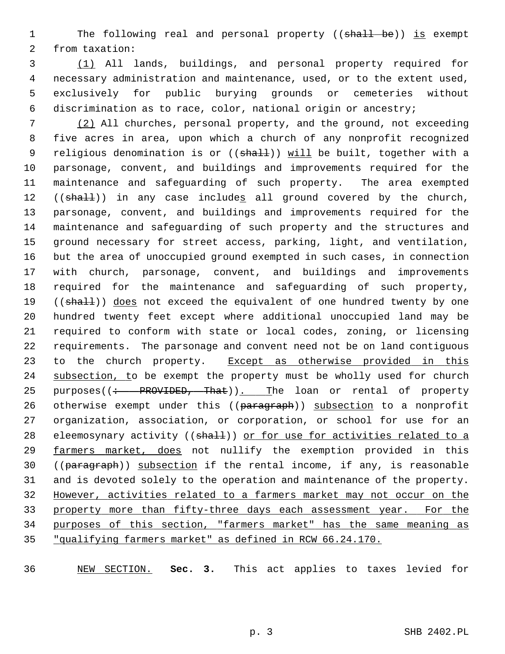1 The following real and personal property ((shall be)) is exempt 2 from taxation:

 3 (1) All lands, buildings, and personal property required for 4 necessary administration and maintenance, used, or to the extent used, 5 exclusively for public burying grounds or cemeteries without 6 discrimination as to race, color, national origin or ancestry;

 7 (2) All churches, personal property, and the ground, not exceeding 8 five acres in area, upon which a church of any nonprofit recognized 9 religious denomination is or ((shall)) will be built, together with a 10 parsonage, convent, and buildings and improvements required for the 11 maintenance and safeguarding of such property. The area exempted 12 ((shall)) in any case includes all ground covered by the church, 13 parsonage, convent, and buildings and improvements required for the 14 maintenance and safeguarding of such property and the structures and 15 ground necessary for street access, parking, light, and ventilation, 16 but the area of unoccupied ground exempted in such cases, in connection 17 with church, parsonage, convent, and buildings and improvements 18 required for the maintenance and safeguarding of such property, 19 ((shall)) does not exceed the equivalent of one hundred twenty by one 20 hundred twenty feet except where additional unoccupied land may be 21 required to conform with state or local codes, zoning, or licensing 22 requirements. The parsonage and convent need not be on land contiguous 23 to the church property. Except as otherwise provided in this 24 subsection, to be exempt the property must be wholly used for church 25 purposes((: PROVIDED, That)). The loan or rental of property 26 otherwise exempt under this ((paragraph)) subsection to a nonprofit 27 organization, association, or corporation, or school for use for an 28 eleemosynary activity ((shall)) or for use for activities related to a 29 farmers market, does not nullify the exemption provided in this 30 ((paragraph)) subsection if the rental income, if any, is reasonable 31 and is devoted solely to the operation and maintenance of the property. 32 However, activities related to a farmers market may not occur on the 33 property more than fifty-three days each assessment year. For the 34 purposes of this section, "farmers market" has the same meaning as 35 "qualifying farmers market" as defined in RCW 66.24.170.

36 NEW SECTION. **Sec. 3.** This act applies to taxes levied for